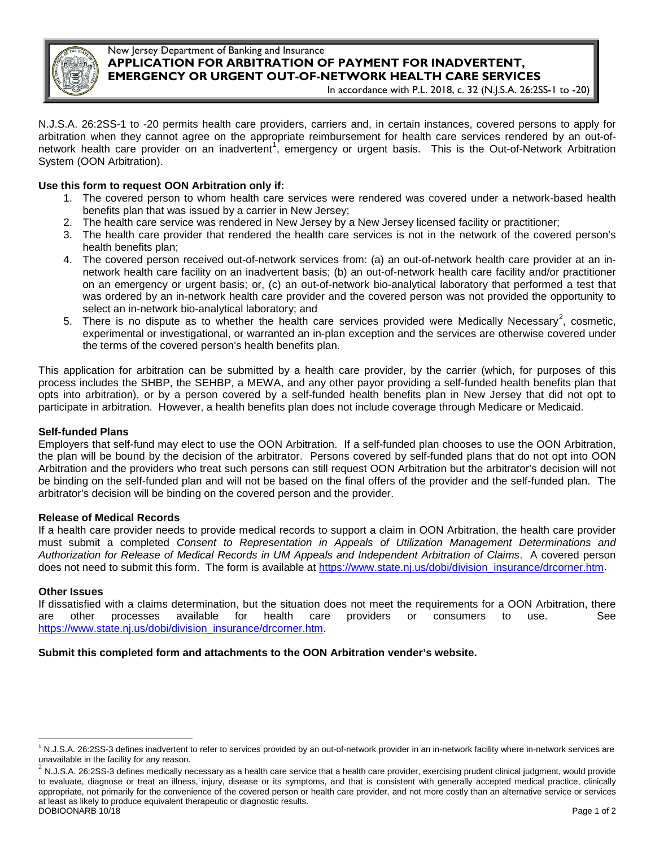

# New Jersey Department of Banking and Insurance **APPLICATION FOR ARBITRATION OF PAYMENT FOR INADVERTENT, EMERGENCY OR URGENT OUT-OF-NETWORK HEALTH CARE SERVICES**

In accordance with P.L. 2018, c. 32 (N.J.S.A. 26:2SS-1 to -20)

N.J.S.A. 26:2SS-1 to -20 permits health care providers, carriers and, in certain instances, covered persons to apply for arbitration when they cannot agree on the appropriate reimbursement for health care services rendered by an out-of-network health care provider on an inadvertent<sup>[1](#page-0-0)</sup>, emergency or urgent basis. This is the Out-of-Network Arbitration System (OON Arbitration).

# **Use this form to request OON Arbitration only if:**

- 1. The covered person to whom health care services were rendered was covered under a network-based health benefits plan that was issued by a carrier in New Jersey;
- 2. The health care service was rendered in New Jersey by a New Jersey licensed facility or practitioner;
- 3. The health care provider that rendered the health care services is not in the network of the covered person's health benefits plan;
- 4. The covered person received out-of-network services from: (a) an out-of-network health care provider at an innetwork health care facility on an inadvertent basis; (b) an out-of-network health care facility and/or practitioner on an emergency or urgent basis; or, (c) an out-of-network bio-analytical laboratory that performed a test that was ordered by an in-network health care provider and the covered person was not provided the opportunity to select an in-network bio-analytical laboratory; and
- 5. There is no dispute as to whether the health care services provided were Medically Necessary<sup>[2](#page-0-1)</sup>, cosmetic, experimental or investigational, or warranted an in-plan exception and the services are otherwise covered under the terms of the covered person's health benefits plan.

This application for arbitration can be submitted by a health care provider, by the carrier (which, for purposes of this process includes the SHBP, the SEHBP, a MEWA, and any other payor providing a self-funded health benefits plan that opts into arbitration), or by a person covered by a self-funded health benefits plan in New Jersey that did not opt to participate in arbitration. However, a health benefits plan does not include coverage through Medicare or Medicaid.

#### **Self-funded Plans**

Employers that self-fund may elect to use the OON Arbitration. If a self-funded plan chooses to use the OON Arbitration, the plan will be bound by the decision of the arbitrator. Persons covered by self-funded plans that do not opt into OON Arbitration and the providers who treat such persons can still request OON Arbitration but the arbitrator's decision will not be binding on the self-funded plan and will not be based on the final offers of the provider and the self-funded plan. The arbitrator's decision will be binding on the covered person and the provider.

#### **Release of Medical Records**

If a health care provider needs to provide medical records to support a claim in OON Arbitration, the health care provider must submit a completed *Consent to Representation in Appeals of Utilization Management Determinations and Authorization for Release of Medical Records in UM Appeals and Independent Arbitration of Claims*. A covered person does not need to submit this form. The form is available at [https://www.state.nj.us/dobi/division\\_insurance/drcorner.htm.](https://www.state.nj.us/dobi/division_insurance/drcorner.htm)

#### **Other Issues**

If dissatisfied with a claims determination, but the situation does not meet the requirements for a OON Arbitration, there are other processes available for health care providers or consumers to use. See [https://www.state.nj.us/dobi/division\\_insurance/drcorner.htm.](https://www.state.nj.us/dobi/division_insurance/drcorner.htm)

#### **Submit this completed form and attachments to the OON Arbitration vender's website.**

<span id="page-0-0"></span><sup>&</sup>lt;sup>1</sup> N.J.S.A. 26:2SS-3 defines inadvertent to refer to services provided by an out-of-network provider in an in-network facility where in-network services are unavailable in the facility for any reason.  $\overline{a}$ 

<span id="page-0-1"></span> $^2$  N.J.S.A. 26:2SS-3 defines medically necessary as a health care service that a health care provider, exercising prudent clinical judgment, would provide to evaluate, diagnose or treat an illness, injury, disease or its symptoms, and that is consistent with generally accepted medical practice, clinically appropriate, not primarily for the convenience of the covered person or health care provider, and not more costly than an alternative service or services at least as likely to produce equivalent therapeutic or diagnostic results. DOBIOONARB 10/18 Page 1 of 2